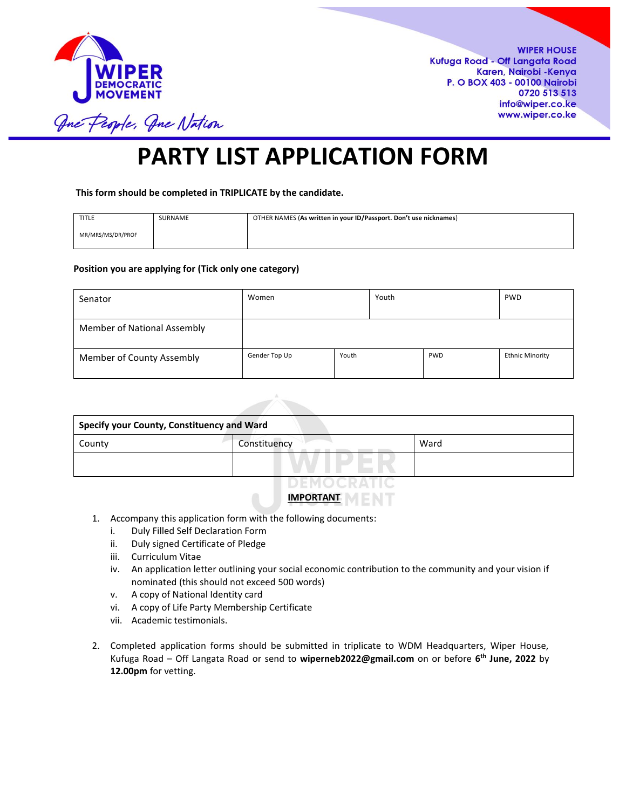

**WIPER HOUSE** Kufuga Road - Off Langata Road Karen, Nairobi - Kenya P. O BOX 403 - 00100 Nairobi 0720 513 513 info@wiper.co.ke www.wiper.co.ke

One People, One Nation

# **PARTY LIST APPLICATION FORM**

**This form should be completed in TRIPLICATE by the candidate.** 

| <b>TITLE</b>      | SURNAME | OTHER NAMES (As written in your ID/Passport. Don't use nicknames) |
|-------------------|---------|-------------------------------------------------------------------|
| MR/MRS/MS/DR/PROF |         |                                                                   |

#### **Position you are applying for (Tick only one category)**

| Senator                     | Women         |       | Youth | <b>PWD</b> |                        |
|-----------------------------|---------------|-------|-------|------------|------------------------|
| Member of National Assembly |               |       |       |            |                        |
| Member of County Assembly   | Gender Top Up | Youth |       | <b>PWD</b> | <b>Ethnic Minority</b> |

| <b>Specify your County, Constituency and Ward</b> |              |      |  |  |  |  |  |
|---------------------------------------------------|--------------|------|--|--|--|--|--|
| County                                            | Constituency | Ward |  |  |  |  |  |
|                                                   |              |      |  |  |  |  |  |
|                                                   | DEMOCRATIO   |      |  |  |  |  |  |

# **IMPORTANT**

- 1. Accompany this application form with the following documents:
	- i. Duly Filled Self Declaration Form
	- ii. Duly signed Certificate of Pledge
	- iii. Curriculum Vitae
	- iv. An application letter outlining your social economic contribution to the community and your vision if nominated (this should not exceed 500 words)
	- v. A copy of National Identity card
	- vi. A copy of Life Party Membership Certificate
	- vii. Academic testimonials.
- 2. Completed application forms should be submitted in triplicate to WDM Headquarters, Wiper House, Kufuga Road – Off Langata Road or send to **wiperneb2022@gmail.com** on or before **6 th June, 2022** by **12.00pm** for vetting.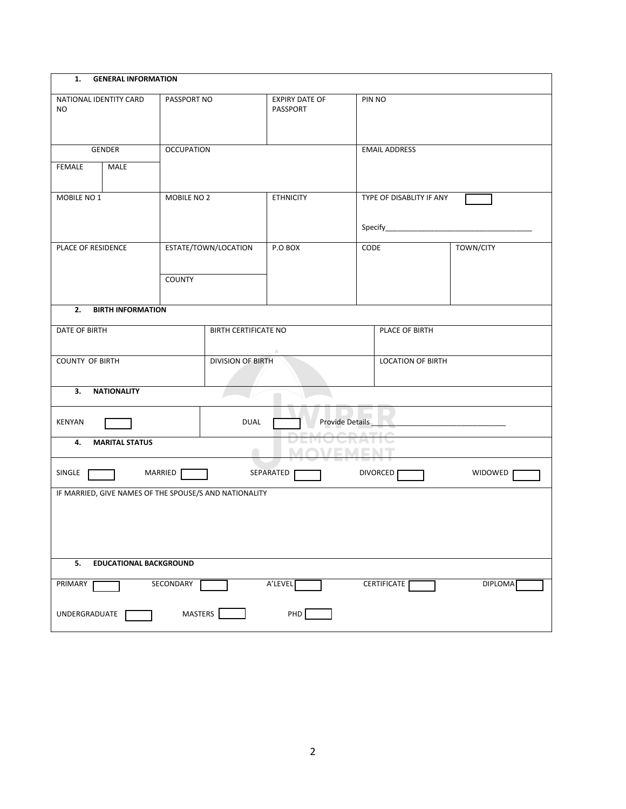| 1.<br><b>GENERAL INFORMATION</b>                       |                               |                             |                               |  |                          |                |  |
|--------------------------------------------------------|-------------------------------|-----------------------------|-------------------------------|--|--------------------------|----------------|--|
| NATIONAL IDENTITY CARD<br>NO.                          | PASSPORT NO                   |                             | EXPIRY DATE OF<br>PASSPORT    |  | PIN NO                   |                |  |
| GENDER                                                 | <b>OCCUPATION</b>             |                             |                               |  | <b>EMAIL ADDRESS</b>     |                |  |
| FEMALE<br>MALE                                         |                               |                             |                               |  |                          |                |  |
| MOBILE NO 1                                            | MOBILE NO 2                   |                             | <b>ETHNICITY</b>              |  | TYPE OF DISABLITY IF ANY |                |  |
|                                                        |                               |                             |                               |  |                          |                |  |
| PLACE OF RESIDENCE                                     |                               | ESTATE/TOWN/LOCATION        | P.O BOX                       |  | CODE                     | TOWN/CITY      |  |
|                                                        | <b>COUNTY</b>                 |                             |                               |  |                          |                |  |
| 2. BIRTH INFORMATION                                   |                               |                             |                               |  |                          |                |  |
| DATE OF BIRTH                                          |                               | <b>BIRTH CERTIFICATE NO</b> |                               |  | PLACE OF BIRTH           |                |  |
| <b>COUNTY OF BIRTH</b>                                 |                               | <b>DIVISION OF BIRTH</b>    |                               |  | <b>LOCATION OF BIRTH</b> |                |  |
| 3.<br><b>NATIONALITY</b>                               |                               |                             |                               |  |                          |                |  |
| KENYAN                                                 |                               | DUAL                        | <b>DEMOODATIO</b>             |  |                          |                |  |
| 4.<br><b>MARITAL STATUS</b>                            |                               |                             | <b>DEMUURATIU</b><br>MOVEMENT |  |                          |                |  |
| SINGLE                                                 | <b>THE MARRIED</b>            |                             | SEPARATED                     |  | DIVORCED <sub>[</sub>    | WIDOWED        |  |
| IF MARRIED, GIVE NAMES OF THE SPOUSE/S AND NATIONALITY |                               |                             |                               |  |                          |                |  |
|                                                        |                               |                             |                               |  |                          |                |  |
|                                                        |                               |                             |                               |  |                          |                |  |
| 5.                                                     | <b>EDUCATIONAL BACKGROUND</b> |                             |                               |  |                          |                |  |
| PRIMARY                                                | SECONDARY                     |                             | A'LEVEL                       |  | CERTIFICATE              | <b>DIPLOMA</b> |  |
| UNDERGRADUATE                                          | MASTERS                       |                             | PHD                           |  |                          |                |  |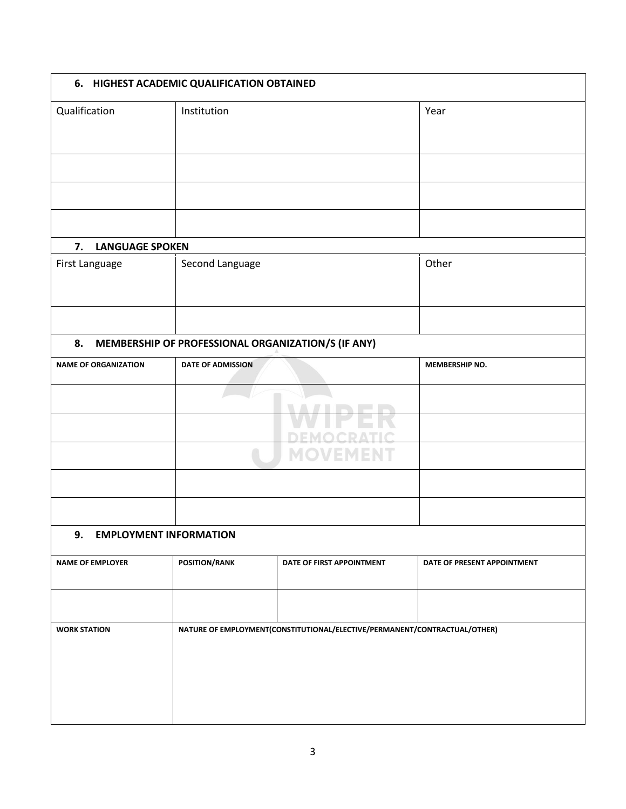|                                     | 6. HIGHEST ACADEMIC QUALIFICATION OBTAINED |                                                                           |                             |
|-------------------------------------|--------------------------------------------|---------------------------------------------------------------------------|-----------------------------|
| Qualification                       | Institution                                |                                                                           | Year                        |
|                                     |                                            |                                                                           |                             |
|                                     |                                            |                                                                           |                             |
|                                     |                                            |                                                                           |                             |
| 7.<br><b>LANGUAGE SPOKEN</b>        |                                            |                                                                           |                             |
| First Language                      | Second Language                            |                                                                           | Other                       |
|                                     |                                            |                                                                           |                             |
| 8.                                  |                                            | MEMBERSHIP OF PROFESSIONAL ORGANIZATION/S (IF ANY)                        |                             |
| <b>NAME OF ORGANIZATION</b>         | <b>DATE OF ADMISSION</b>                   |                                                                           | MEMBERSHIP NO.              |
|                                     |                                            | Þ.                                                                        |                             |
|                                     |                                            |                                                                           |                             |
| 9.<br><b>EMPLOYMENT INFORMATION</b> |                                            |                                                                           |                             |
|                                     |                                            |                                                                           |                             |
| <b>NAME OF EMPLOYER</b>             | <b>POSITION/RANK</b>                       | DATE OF FIRST APPOINTMENT                                                 | DATE OF PRESENT APPOINTMENT |
| <b>WORK STATION</b>                 |                                            | NATURE OF EMPLOYMENT(CONSTITUTIONAL/ELECTIVE/PERMANENT/CONTRACTUAL/OTHER) |                             |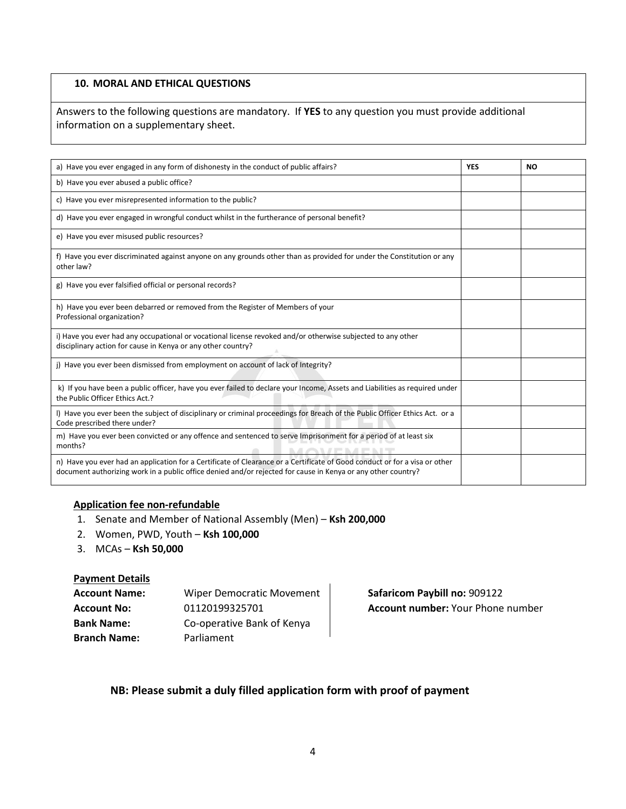# **10. MORAL AND ETHICAL QUESTIONS**

Answers to the following questions are mandatory. If **YES** to any question you must provide additional information on a supplementary sheet.

| a) Have you ever engaged in any form of dishonesty in the conduct of public affairs?                                                                                                                                                       | <b>YES</b> | NO. |
|--------------------------------------------------------------------------------------------------------------------------------------------------------------------------------------------------------------------------------------------|------------|-----|
| b) Have you ever abused a public office?                                                                                                                                                                                                   |            |     |
| c) Have you ever misrepresented information to the public?                                                                                                                                                                                 |            |     |
| d) Have you ever engaged in wrongful conduct whilst in the furtherance of personal benefit?                                                                                                                                                |            |     |
| e) Have you ever misused public resources?                                                                                                                                                                                                 |            |     |
| f) Have you ever discriminated against anyone on any grounds other than as provided for under the Constitution or any<br>other law?                                                                                                        |            |     |
| g) Have you ever falsified official or personal records?                                                                                                                                                                                   |            |     |
| h) Have you ever been debarred or removed from the Register of Members of your<br>Professional organization?                                                                                                                               |            |     |
| i) Have you ever had any occupational or vocational license revoked and/or otherwise subjected to any other<br>disciplinary action for cause in Kenya or any other country?                                                                |            |     |
| j) Have you ever been dismissed from employment on account of lack of Integrity?                                                                                                                                                           |            |     |
| k) If you have been a public officer, have you ever failed to declare your Income, Assets and Liabilities as required under<br>the Public Officer Ethics Act.?                                                                             |            |     |
| I) Have you ever been the subject of disciplinary or criminal proceedings for Breach of the Public Officer Ethics Act. or a<br>Code prescribed there under?                                                                                |            |     |
| m) Have you ever been convicted or any offence and sentenced to serve Imprisonment for a period of at least six<br>months?                                                                                                                 |            |     |
| n) Have you ever had an application for a Certificate of Clearance or a Certificate of Good conduct or for a visa or other<br>document authorizing work in a public office denied and/or rejected for cause in Kenya or any other country? |            |     |

#### **Application fee non-refundable**

- 1. Senate and Member of National Assembly (Men) **Ksh 200,000**
- 2. Women, PWD, Youth **Ksh 100,000**
- 3. MCAs **Ksh 50,000**

#### **Payment Details**

| <b>Account Name:</b> | <b>Wiper Democratic Movement</b> |
|----------------------|----------------------------------|
| <b>Account No:</b>   | 01120199325701                   |
| <b>Bank Name:</b>    | Co-operative Bank of Kenya       |
| <b>Branch Name:</b>  | Parliament                       |

**Safaricom Paybill no: 909122 Account number: Your Phone number** 

# **NB: Please submit a duly filled application form with proof of payment**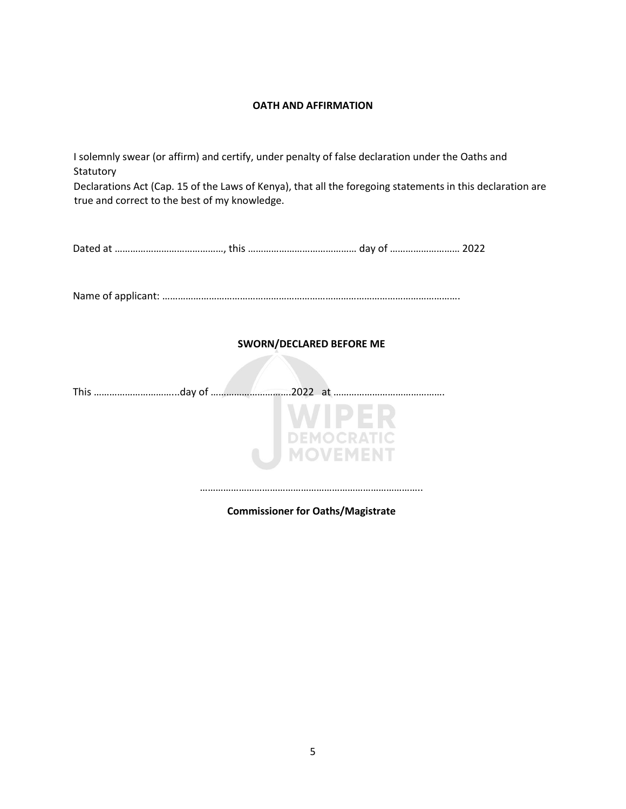#### **OATH AND AFFIRMATION**

I solemnly swear (or affirm) and certify, under penalty of false declaration under the Oaths and Statutory Declarations Act (Cap. 15 of the Laws of Kenya), that all the foregoing statements in this declaration are true and correct to the best of my knowledge.

|--|--|

Name of applicant: …………………………………………………………………………………………………….

### **SWORN/DECLARED BEFORE ME**

This …………………………...day of ………………………….2022 at …………………………………….



**Commissioner for Oaths/Magistrate**